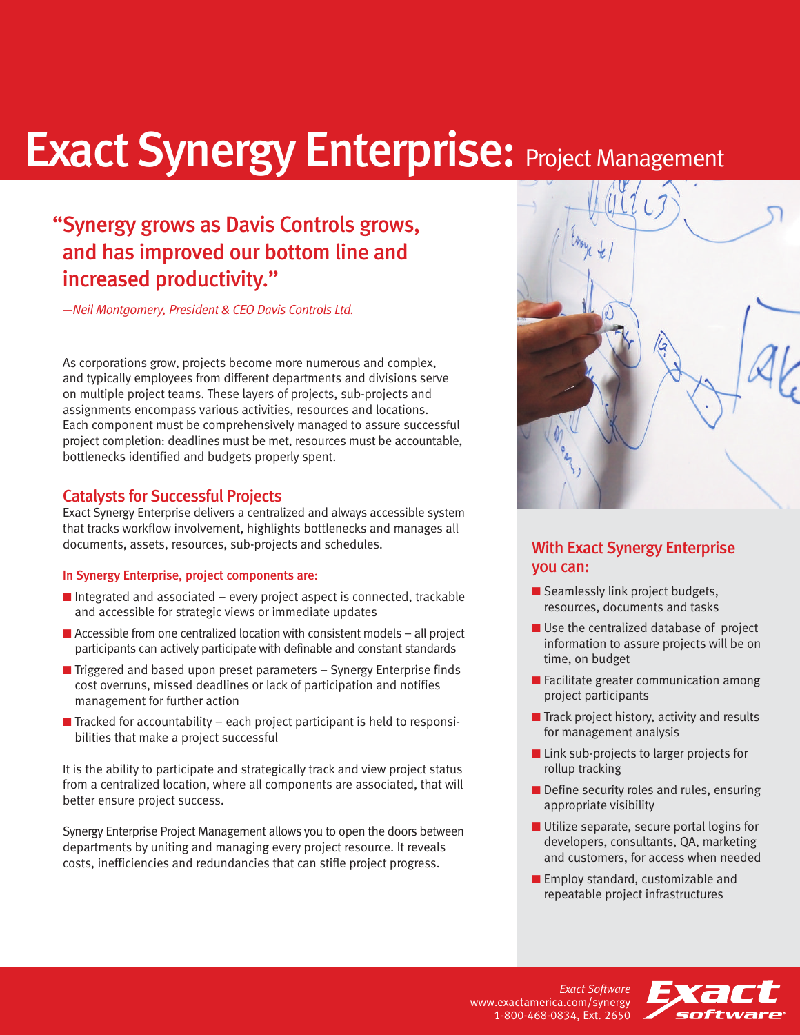# **Exact Synergy Enterprise: Project Management**

### "Synergy grows as Davis Controls grows, and has improved our bottom line and increased productivity."

*—Neil Montgomery, President & CEO Davis Controls Ltd.*

As corporations grow, projects become more numerous and complex, and typically employees from different departments and divisions serve on multiple project teams. These layers of projects, sub-projects and assignments encompass various activities, resources and locations. Each component must be comprehensively managed to assure successful project completion: deadlines must be met, resources must be accountable, bottlenecks identified and budgets properly spent.

#### Catalysts for Successful Projects

Exact Synergy Enterprise delivers a centralized and always accessible system that tracks workflow involvement, highlights bottlenecks and manages all documents, assets, resources, sub-projects and schedules.

#### In Synergy Enterprise, project components are:

- $\blacksquare$  Integrated and associated every project aspect is connected, trackable and accessible for strategic views or immediate updates
- $\blacksquare$  Accessible from one centralized location with consistent models all project participants can actively participate with definable and constant standards
- Triggered and based upon preset parameters Synergy Enterprise finds cost overruns, missed deadlines or lack of participation and notifies management for further action
- $\blacksquare$  Tracked for accountability each project participant is held to responsibilities that make a project successful

It is the ability to participate and strategically track and view project status from a centralized location, where all components are associated, that will better ensure project success.

Synergy Enterprise Project Management allows you to open the doors between departments by uniting and managing every project resource. It reveals costs, inefficiencies and redundancies that can stifle project progress.



#### With Exact Synergy Enterprise you can:

- Seamlessly link project budgets, resources, documents and tasks
- Use the centralized database of project information to assure projects will be on time, on budget
- Facilitate greater communication among project participants
- Track project history, activity and results for management analysis
- Link sub-projects to larger projects for rollup tracking
- Define security roles and rules, ensuring appropriate visibility
- Utilize separate, secure portal logins for developers, consultants, QA, marketing and customers, for access when needed
- Employ standard, customizable and repeatable project infrastructures

*Exact Software* www.exactamerica.com/synergy 1-800-468-0834, Ext. 2650